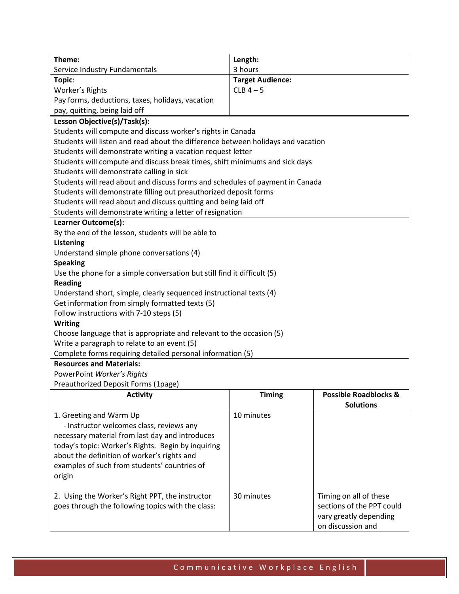| Theme:                                                                           | Length:                 |                                  |  |
|----------------------------------------------------------------------------------|-------------------------|----------------------------------|--|
| Service Industry Fundamentals                                                    | 3 hours                 |                                  |  |
| Topic:                                                                           | <b>Target Audience:</b> |                                  |  |
| Worker's Rights                                                                  | $CLB$ 4 - 5             |                                  |  |
| Pay forms, deductions, taxes, holidays, vacation                                 |                         |                                  |  |
| pay, quitting, being laid off                                                    |                         |                                  |  |
| Lesson Objective(s)/Task(s):                                                     |                         |                                  |  |
| Students will compute and discuss worker's rights in Canada                      |                         |                                  |  |
| Students will listen and read about the difference between holidays and vacation |                         |                                  |  |
| Students will demonstrate writing a vacation request letter                      |                         |                                  |  |
| Students will compute and discuss break times, shift minimums and sick days      |                         |                                  |  |
| Students will demonstrate calling in sick                                        |                         |                                  |  |
| Students will read about and discuss forms and schedules of payment in Canada    |                         |                                  |  |
| Students will demonstrate filling out preauthorized deposit forms                |                         |                                  |  |
| Students will read about and discuss quitting and being laid off                 |                         |                                  |  |
| Students will demonstrate writing a letter of resignation                        |                         |                                  |  |
| Learner Outcome(s):                                                              |                         |                                  |  |
| By the end of the lesson, students will be able to                               |                         |                                  |  |
| Listening                                                                        |                         |                                  |  |
| Understand simple phone conversations (4)                                        |                         |                                  |  |
| <b>Speaking</b>                                                                  |                         |                                  |  |
| Use the phone for a simple conversation but still find it difficult (5)          |                         |                                  |  |
| <b>Reading</b>                                                                   |                         |                                  |  |
| Understand short, simple, clearly sequenced instructional texts (4)              |                         |                                  |  |
| Get information from simply formatted texts (5)                                  |                         |                                  |  |
| Follow instructions with 7-10 steps (5)                                          |                         |                                  |  |
| <b>Writing</b>                                                                   |                         |                                  |  |
| Choose language that is appropriate and relevant to the occasion (5)             |                         |                                  |  |
| Write a paragraph to relate to an event (5)                                      |                         |                                  |  |
| Complete forms requiring detailed personal information (5)                       |                         |                                  |  |
| <b>Resources and Materials:</b>                                                  |                         |                                  |  |
| PowerPoint Worker's Rights                                                       |                         |                                  |  |
| Preauthorized Deposit Forms (1page)                                              |                         |                                  |  |
| <b>Activity</b>                                                                  | <b>Timing</b>           | <b>Possible Roadblocks &amp;</b> |  |
|                                                                                  |                         | <b>Solutions</b>                 |  |
| 1. Greeting and Warm Up                                                          | 10 minutes              |                                  |  |
| - Instructor welcomes class, reviews any                                         |                         |                                  |  |
| necessary material from last day and introduces                                  |                         |                                  |  |
| today's topic: Worker's Rights. Begin by inquiring                               |                         |                                  |  |
| about the definition of worker's rights and                                      |                         |                                  |  |
| examples of such from students' countries of                                     |                         |                                  |  |
| origin                                                                           |                         |                                  |  |
|                                                                                  |                         |                                  |  |
| 2. Using the Worker's Right PPT, the instructor                                  | 30 minutes              | Timing on all of these           |  |
| goes through the following topics with the class:                                |                         | sections of the PPT could        |  |
|                                                                                  |                         | vary greatly depending           |  |
|                                                                                  |                         | on discussion and                |  |